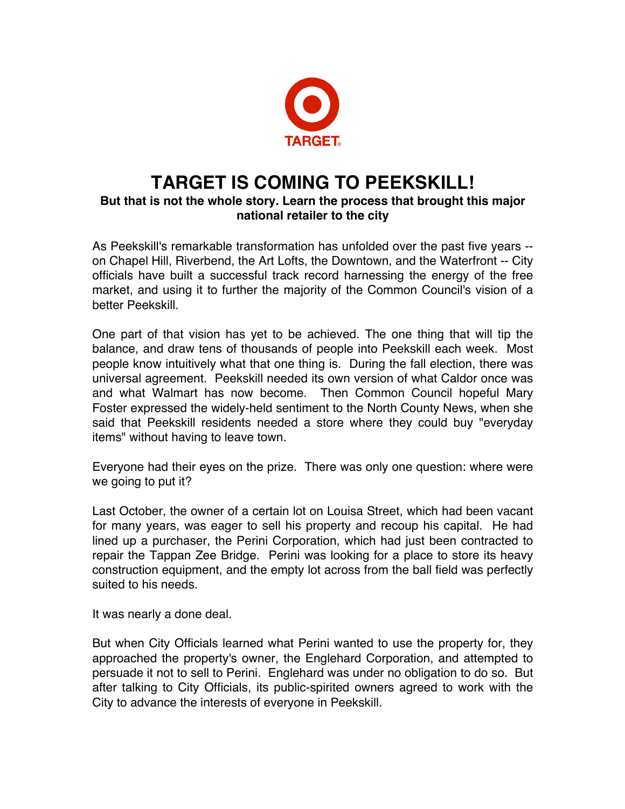

## **TARGET IS COMING TO PEEKSKILL!**

## **But that is not the whole story. Learn the process that brought this major national retailer to the city**

As Peekskill's remarkable transformation has unfolded over the past five years - on Chapel Hill, Riverbend, the Art Lofts, the Downtown, and the Waterfront -- City officials have built a successful track record harnessing the energy of the free market, and using it to further the majority of the Common Council's vision of a better Peekskill.

One part of that vision has yet to be achieved. The one thing that will tip the balance, and draw tens of thousands of people into Peekskill each week. Most people know intuitively what that one thing is. During the fall election, there was universal agreement. Peekskill needed its own version of what Caldor once was and what Walmart has now become. Then Common Council hopeful Mary Foster expressed the widely-held sentiment to the North County News, when she said that Peekskill residents needed a store where they could buy "everyday items" without having to leave town.

Everyone had their eyes on the prize. There was only one question: where were we going to put it?

Last October, the owner of a certain lot on Louisa Street, which had been vacant for many years, was eager to sell his property and recoup his capital. He had lined up a purchaser, the Perini Corporation, which had just been contracted to repair the Tappan Zee Bridge. Perini was looking for a place to store its heavy construction equipment, and the empty lot across from the ball field was perfectly suited to his needs.

It was nearly a done deal.

But when City Officials learned what Perini wanted to use the property for, they approached the property's owner, the Englehard Corporation, and attempted to persuade it not to sell to Perini. Englehard was under no obligation to do so. But after talking to City Officials, its public-spirited owners agreed to work with the City to advance the interests of everyone in Peekskill.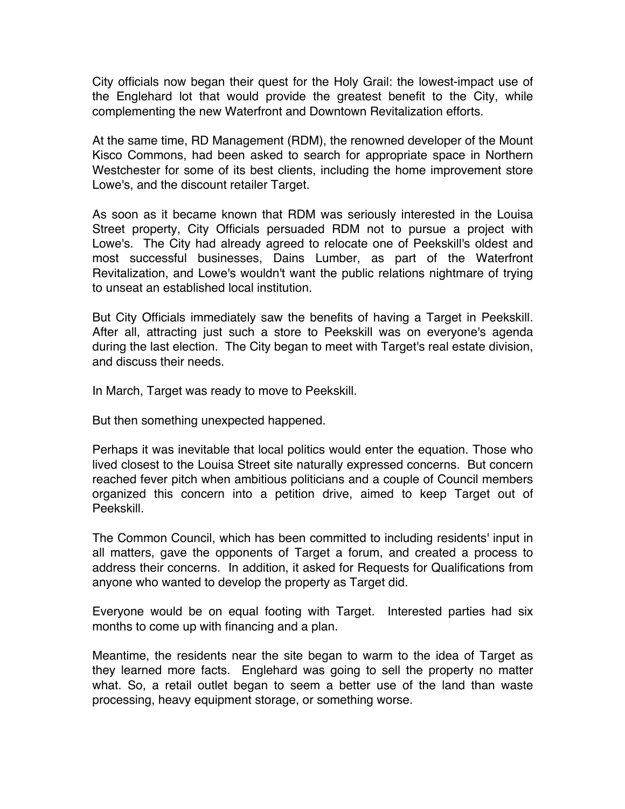City officials now began their quest for the Holy Grail: the lowest-impact use of the Englehard lot that would provide the greatest benefit to the City, while complementing the new Waterfront and Downtown Revitalization efforts.

At the same time, RD Management (RDM), the renowned developer of the Mount Kisco Commons, had been asked to search for appropriate space in Northern Westchester for some of its best clients, including the home improvement store Lowe's, and the discount retailer Target.

As soon as it became known that RDM was seriously interested in the Louisa Street property, City Officials persuaded RDM not to pursue a project with Lowe's. The City had already agreed to relocate one of Peekskill's oldest and most successful businesses, Dains Lumber, as part of the Waterfront Revitalization, and Lowe's wouldn't want the public relations nightmare of trying to unseat an established local institution.

But City Officials immediately saw the benefits of having a Target in Peekskill. After all, attracting just such a store to Peekskill was on everyone's agenda during the last election. The City began to meet with Target's real estate division, and discuss their needs.

In March, Target was ready to move to Peekskill.

But then something unexpected happened.

Perhaps it was inevitable that local politics would enter the equation. Those who lived closest to the Louisa Street site naturally expressed concerns. But concern reached fever pitch when ambitious politicians and a couple of Council members organized this concern into a petition drive, aimed to keep Target out of Peekskill.

The Common Council, which has been committed to including residents' input in all matters, gave the opponents of Target a forum, and created a process to address their concerns. In addition, it asked for Requests for Qualifications from anyone who wanted to develop the property as Target did.

Everyone would be on equal footing with Target. Interested parties had six months to come up with financing and a plan.

Meantime, the residents near the site began to warm to the idea of Target as they learned more facts. Englehard was going to sell the property no matter what. So, a retail outlet began to seem a better use of the land than waste processing, heavy equipment storage, or something worse.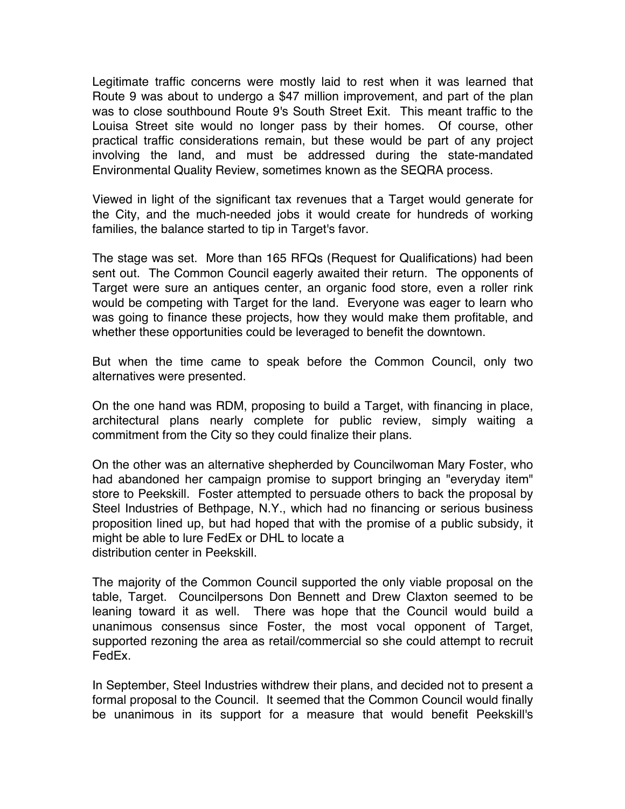Legitimate traffic concerns were mostly laid to rest when it was learned that Route 9 was about to undergo a \$47 million improvement, and part of the plan was to close southbound Route 9's South Street Exit. This meant traffic to the Louisa Street site would no longer pass by their homes. Of course, other practical traffic considerations remain, but these would be part of any project involving the land, and must be addressed during the state-mandated Environmental Quality Review, sometimes known as the SEQRA process.

Viewed in light of the significant tax revenues that a Target would generate for the City, and the much-needed jobs it would create for hundreds of working families, the balance started to tip in Target's favor.

The stage was set. More than 165 RFQs (Request for Qualifications) had been sent out. The Common Council eagerly awaited their return. The opponents of Target were sure an antiques center, an organic food store, even a roller rink would be competing with Target for the land. Everyone was eager to learn who was going to finance these projects, how they would make them profitable, and whether these opportunities could be leveraged to benefit the downtown.

But when the time came to speak before the Common Council, only two alternatives were presented.

On the one hand was RDM, proposing to build a Target, with financing in place, architectural plans nearly complete for public review, simply waiting a commitment from the City so they could finalize their plans.

On the other was an alternative shepherded by Councilwoman Mary Foster, who had abandoned her campaign promise to support bringing an "everyday item" store to Peekskill. Foster attempted to persuade others to back the proposal by Steel Industries of Bethpage, N.Y., which had no financing or serious business proposition lined up, but had hoped that with the promise of a public subsidy, it might be able to lure FedEx or DHL to locate a distribution center in Peekskill.

The majority of the Common Council supported the only viable proposal on the table, Target. Councilpersons Don Bennett and Drew Claxton seemed to be leaning toward it as well. There was hope that the Council would build a unanimous consensus since Foster, the most vocal opponent of Target, supported rezoning the area as retail/commercial so she could attempt to recruit FedEx.

In September, Steel Industries withdrew their plans, and decided not to present a formal proposal to the Council. It seemed that the Common Council would finally be unanimous in its support for a measure that would benefit Peekskill's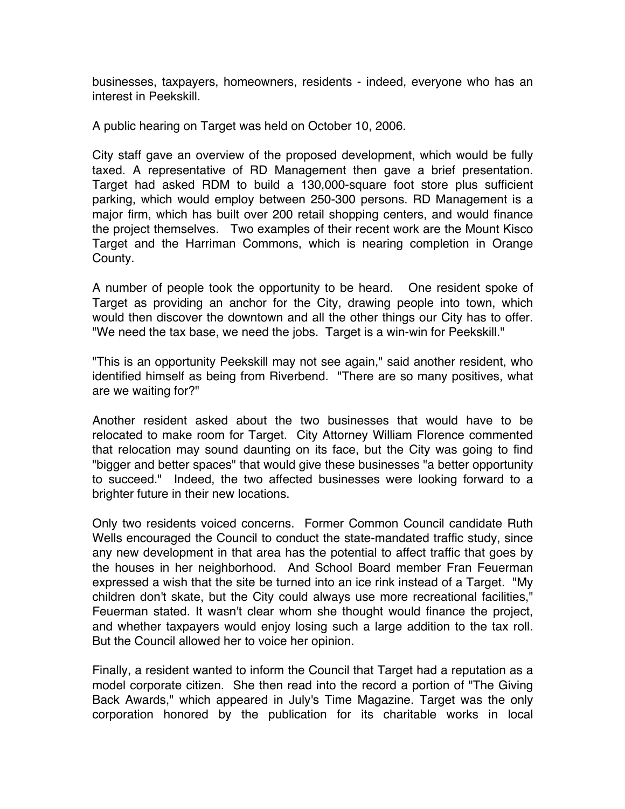businesses, taxpayers, homeowners, residents - indeed, everyone who has an interest in Peekskill.

A public hearing on Target was held on October 10, 2006.

City staff gave an overview of the proposed development, which would be fully taxed. A representative of RD Management then gave a brief presentation. Target had asked RDM to build a 130,000-square foot store plus sufficient parking, which would employ between 250-300 persons. RD Management is a major firm, which has built over 200 retail shopping centers, and would finance the project themselves. Two examples of their recent work are the Mount Kisco Target and the Harriman Commons, which is nearing completion in Orange County.

A number of people took the opportunity to be heard. One resident spoke of Target as providing an anchor for the City, drawing people into town, which would then discover the downtown and all the other things our City has to offer. "We need the tax base, we need the jobs. Target is a win-win for Peekskill."

"This is an opportunity Peekskill may not see again," said another resident, who identified himself as being from Riverbend. "There are so many positives, what are we waiting for?"

Another resident asked about the two businesses that would have to be relocated to make room for Target. City Attorney William Florence commented that relocation may sound daunting on its face, but the City was going to find "bigger and better spaces" that would give these businesses "a better opportunity to succeed." Indeed, the two affected businesses were looking forward to a brighter future in their new locations.

Only two residents voiced concerns. Former Common Council candidate Ruth Wells encouraged the Council to conduct the state-mandated traffic study, since any new development in that area has the potential to affect traffic that goes by the houses in her neighborhood. And School Board member Fran Feuerman expressed a wish that the site be turned into an ice rink instead of a Target. "My children don't skate, but the City could always use more recreational facilities," Feuerman stated. It wasn't clear whom she thought would finance the project, and whether taxpayers would enjoy losing such a large addition to the tax roll. But the Council allowed her to voice her opinion.

Finally, a resident wanted to inform the Council that Target had a reputation as a model corporate citizen. She then read into the record a portion of "The Giving Back Awards," which appeared in July's Time Magazine. Target was the only corporation honored by the publication for its charitable works in local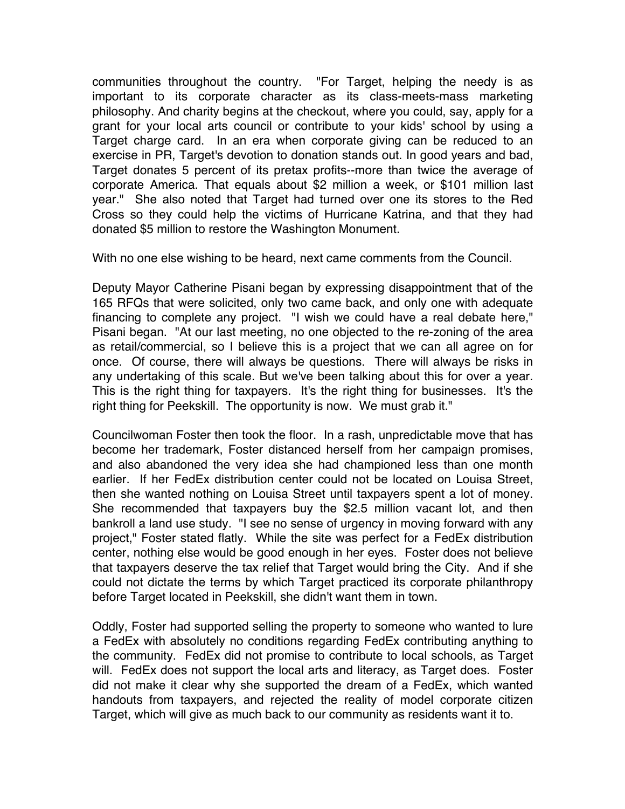communities throughout the country. "For Target, helping the needy is as important to its corporate character as its class-meets-mass marketing philosophy. And charity begins at the checkout, where you could, say, apply for a grant for your local arts council or contribute to your kids' school by using a Target charge card. In an era when corporate giving can be reduced to an exercise in PR, Target's devotion to donation stands out. In good years and bad, Target donates 5 percent of its pretax profits--more than twice the average of corporate America. That equals about \$2 million a week, or \$101 million last year." She also noted that Target had turned over one its stores to the Red Cross so they could help the victims of Hurricane Katrina, and that they had donated \$5 million to restore the Washington Monument.

With no one else wishing to be heard, next came comments from the Council.

Deputy Mayor Catherine Pisani began by expressing disappointment that of the 165 RFQs that were solicited, only two came back, and only one with adequate financing to complete any project. "I wish we could have a real debate here," Pisani began. "At our last meeting, no one objected to the re-zoning of the area as retail/commercial, so I believe this is a project that we can all agree on for once. Of course, there will always be questions. There will always be risks in any undertaking of this scale. But we've been talking about this for over a year. This is the right thing for taxpayers. It's the right thing for businesses. It's the right thing for Peekskill. The opportunity is now. We must grab it."

Councilwoman Foster then took the floor. In a rash, unpredictable move that has become her trademark, Foster distanced herself from her campaign promises, and also abandoned the very idea she had championed less than one month earlier. If her FedEx distribution center could not be located on Louisa Street, then she wanted nothing on Louisa Street until taxpayers spent a lot of money. She recommended that taxpayers buy the \$2.5 million vacant lot, and then bankroll a land use study. "I see no sense of urgency in moving forward with any project," Foster stated flatly. While the site was perfect for a FedEx distribution center, nothing else would be good enough in her eyes. Foster does not believe that taxpayers deserve the tax relief that Target would bring the City. And if she could not dictate the terms by which Target practiced its corporate philanthropy before Target located in Peekskill, she didn't want them in town.

Oddly, Foster had supported selling the property to someone who wanted to lure a FedEx with absolutely no conditions regarding FedEx contributing anything to the community. FedEx did not promise to contribute to local schools, as Target will. FedEx does not support the local arts and literacy, as Target does. Foster did not make it clear why she supported the dream of a FedEx, which wanted handouts from taxpayers, and rejected the reality of model corporate citizen Target, which will give as much back to our community as residents want it to.